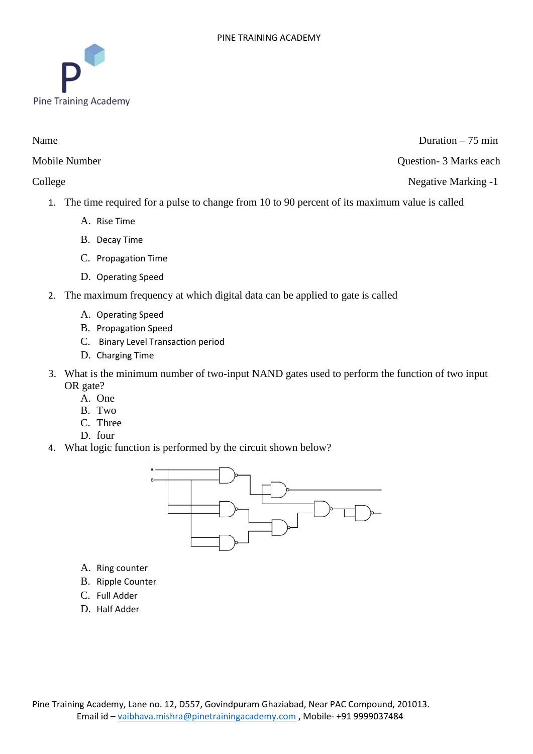

Name Duration – 75 min

Mobile Number Question- 3 Marks each

College Negative Marking -1

- 1. The time required for a pulse to change from 10 to 90 percent of its maximum value is called
	- A. Rise Time
	- B. Decay Time
	- C. Propagation Time
	- D. Operating Speed
- 2. The maximum frequency at which digital data can be applied to gate is called
	- A. Operating Speed
	- B. Propagation Speed
	- C. Binary Level Transaction period
	- D. Charging Time
- 3. What is the minimum number of two-input NAND gates used to perform the function of two input OR gate?
	- A. One
	- B. Two
	- C. Three
	- D. four
- 4. What logic function is performed by the circuit shown below?



- A. Ring counter
- B. Ripple Counter
- C. Full Adder
- D. Half Adder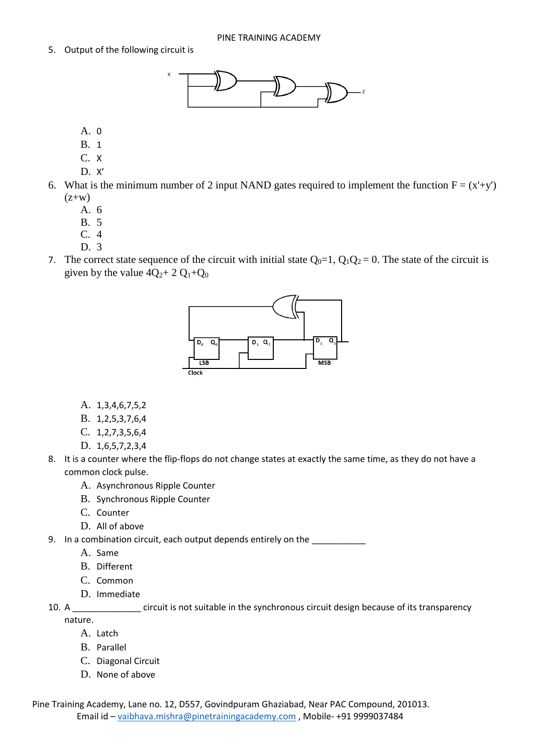5. Output of the following circuit is



- A. 0
- B. 1
- C. X
- D. X'
- 6. What is the minimum number of 2 input NAND gates required to implement the function  $F = (x'+y')$  $(z+w)$ 
	- A. 6
	- B. 5
	- C. 4
	- D. 3
- 7. The correct state sequence of the circuit with initial state  $Q_0=1$ ,  $Q_1Q_2=0$ . The state of the circuit is given by the value  $4Q_2+2Q_1+Q_0$



- A. 1,3,4,6,7,5,2
- B. 1,2,5,3,7,6,4
- C. 1,2,7,3,5,6,4
- D. 1,6,5,7,2,3,4
- 8. It is a counter where the flip-flops do not change states at exactly the same time, as they do not have a common clock pulse.
	- A. Asynchronous Ripple Counter
	- B. Synchronous Ripple Counter
	- C. Counter
	- D. All of above
- 9. In a combination circuit, each output depends entirely on the
	- A. Same
	- B. Different
	- C. Common
	- D. Immediate
- 10. A \_\_\_\_\_\_\_\_\_\_\_\_\_\_ circuit is not suitable in the synchronous circuit design because of its transparency nature.
	- A. Latch
	- B. Parallel
	- C. Diagonal Circuit
	- D. None of above

Pine Training Academy, Lane no. 12, D557, Govindpuram Ghaziabad, Near PAC Compound, 201013. Email id – vaibhava.mishra@pinetrainingacademy.com , Mobile- +91 9999037484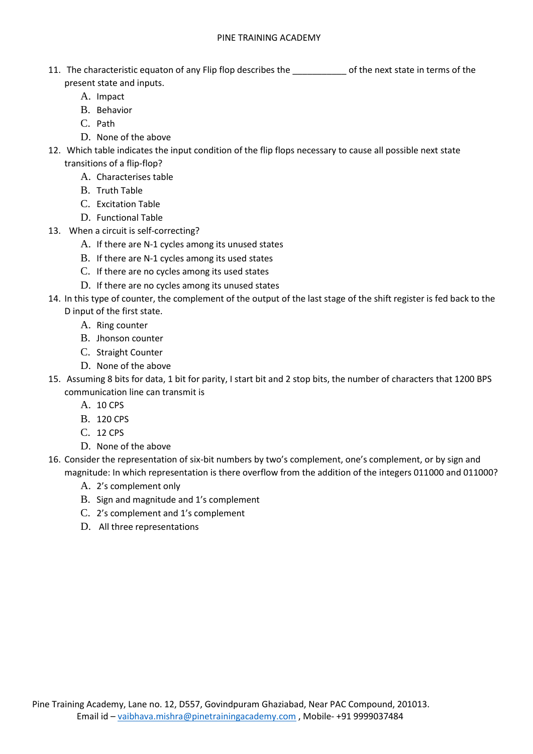- 11. The characteristic equaton of any Flip flop describes the \_\_\_\_\_\_\_\_\_\_\_ of the next state in terms of the present state and inputs.
	- A. Impact
	- B. Behavior
	- C. Path
	- D. None of the above
- 12. Which table indicates the input condition of the flip flops necessary to cause all possible next state transitions of a flip-flop?
	- A. Characterises table
	- B. Truth Table
	- C. Excitation Table
	- D. Functional Table
- 13. When a circuit is self-correcting?
	- A. If there are N-1 cycles among its unused states
	- B. If there are N-1 cycles among its used states
	- C. If there are no cycles among its used states
	- D. If there are no cycles among its unused states
- 14. In this type of counter, the complement of the output of the last stage of the shift register is fed back to the
	- D input of the first state.
		- A. Ring counter
		- B. Jhonson counter
		- C. Straight Counter
		- D. None of the above
- 15. Assuming 8 bits for data, 1 bit for parity, I start bit and 2 stop bits, the number of characters that 1200 BPS communication line can transmit is
	- A. 10 CPS
	- B. 120 CPS
	- C. 12 CPS
	- D. None of the above
- 16. Consider the representation of six-bit numbers by two's complement, one's complement, or by sign and magnitude: In which representation is there overflow from the addition of the integers 011000 and 011000?
	- A. 2's complement only
	- B. Sign and magnitude and 1's complement
	- C. 2's complement and 1's complement
	- D. All three representations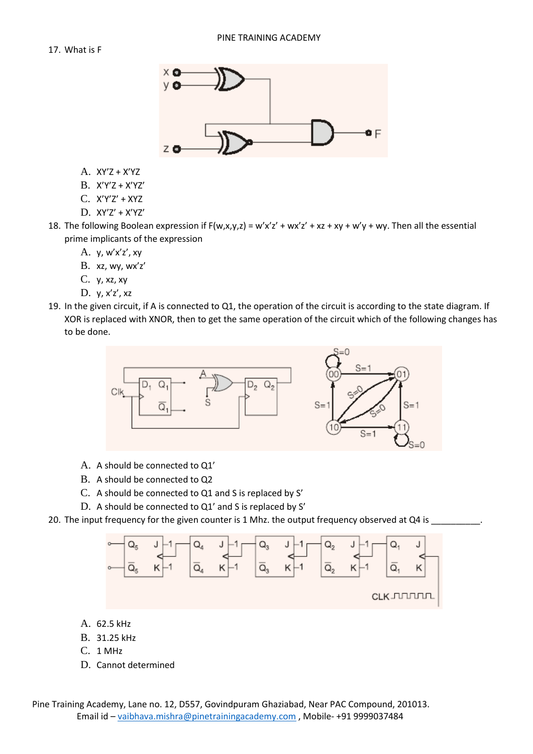

- A. XY'Z + X'YZ
- B. X'Y'Z + X'YZ'
- C. X'Y'Z' + XYZ
- D. XY'Z' + X'YZ'

18. The following Boolean expression if  $F(w,x,y,z) = w'x'z' + wx'z' + xz + xy + w'y + wy$ . Then all the essential prime implicants of the expression

- A. y, w'x'z', xy
- B. xz, wy, wx'z'
- C. y, xz, xy
- D. y, x'z', xz
- 19. In the given circuit, if A is connected to Q1, the operation of the circuit is according to the state diagram. If XOR is replaced with XNOR, then to get the same operation of the circuit which of the following changes has to be done.



- A. A should be connected to Q1'
- B. A should be connected to Q2
- C. A should be connected to Q1 and S is replaced by S'
- D. A should be connected to Q1' and S is replaced by S'
- 20. The input frequency for the given counter is 1 Mhz. the output frequency observed at Q4 is



- A. 62.5 kHz
- B. 31.25 kHz
- C. 1 MHz
- D. Cannot determined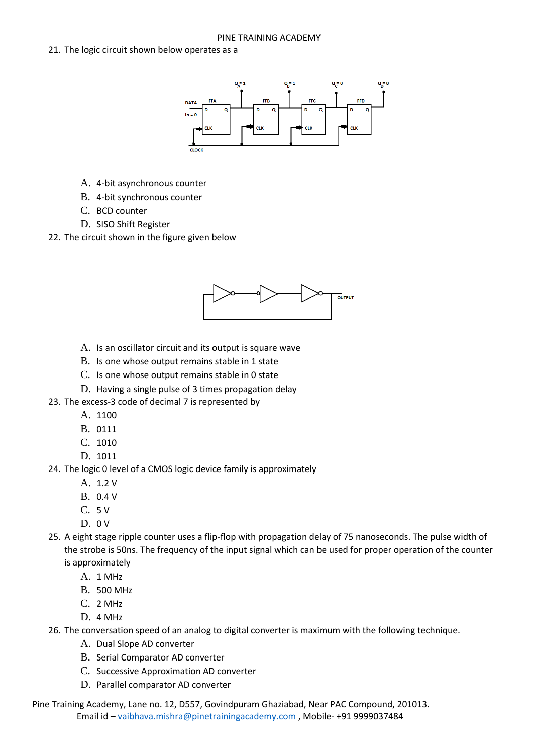## 21. The logic circuit shown below operates as a



- A. 4-bit asynchronous counter
- B. 4-bit synchronous counter
- C. BCD counter
- D. SISO Shift Register
- 22. The circuit shown in the figure given below



- A. Is an oscillator circuit and its output is square wave
- B. Is one whose output remains stable in 1 state
- C. Is one whose output remains stable in 0 state
- D. Having a single pulse of 3 times propagation delay
- 23. The excess-3 code of decimal 7 is represented by
	- A. 1100
	- B. 0111
	- C. 1010
	- D. 1011
- 24. The logic 0 level of a CMOS logic device family is approximately
	- A. 1.2 V
	- B. 0.4 V
	- C. 5 V
	- $D. 0 V$
- 25. A eight stage ripple counter uses a flip-flop with propagation delay of 75 nanoseconds. The pulse width of the strobe is 50ns. The frequency of the input signal which can be used for proper operation of the counter is approximately
	- A. 1 MHz
	- B. 500 MHz
	- C. 2 MHz
	- D. 4 MHz
- 26. The conversation speed of an analog to digital converter is maximum with the following technique.
	- A. Dual Slope AD converter
	- B. Serial Comparator AD converter
	- C. Successive Approximation AD converter
	- D. Parallel comparator AD converter
- Pine Training Academy, Lane no. 12, D557, Govindpuram Ghaziabad, Near PAC Compound, 201013. Email id – vaibhava.mishra@pinetrainingacademy.com , Mobile- +91 9999037484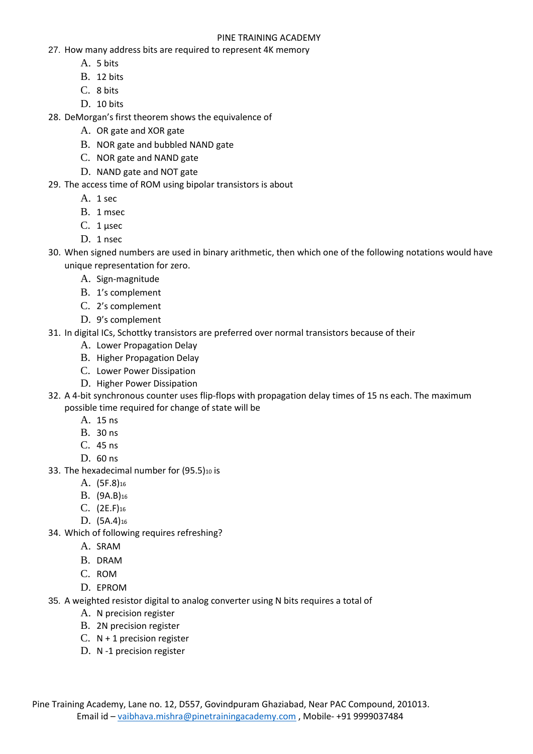## PINE TRAINING ACADEMY

- 27. How many address bits are required to represent 4K memory
	- A. 5 bits
	- B. 12 bits
	- C. 8 bits
	- D. 10 bits

28. DeMorgan's first theorem shows the equivalence of

- A. OR gate and XOR gate
- B. NOR gate and bubbled NAND gate
- C. NOR gate and NAND gate
- D. NAND gate and NOT gate
- 29. The access time of ROM using bipolar transistors is about
	- A. 1 sec
	- B. 1 msec
	- C. 1 μsec
	- D. 1 nsec
- 30. When signed numbers are used in binary arithmetic, then which one of the following notations would have unique representation for zero.
	- A. Sign-magnitude
	- B. 1's complement
	- C. 2's complement
	- D. 9's complement
- 31. In digital ICs, Schottky transistors are preferred over normal transistors because of their
	- A. Lower Propagation Delay
	- B. Higher Propagation Delay
	- C. Lower Power Dissipation
	- D. Higher Power Dissipation
- 32. A 4-bit synchronous counter uses flip-flops with propagation delay times of 15 ns each. The maximum possible time required for change of state will be
	- A. 15 ns
	- B. 30 ns
	- C. 45 ns
	- D. 60 ns
- 33. The hexadecimal number for (95.5)10 is
	- A. (5F.8)<sup>16</sup>
	- B. (9A.B)<sup>16</sup>
	- C. (2E.F)<sup>16</sup>
	- D.  $(5A.4)_{16}$
- 34. Which of following requires refreshing?
	- A. SRAM
	- B. DRAM
	- C. ROM
	- D. EPROM
- 35. A weighted resistor digital to analog converter using N bits requires a total of
	- A. N precision register
	- B. 2N precision register
	- C.  $N + 1$  precision register
	- D. N -1 precision register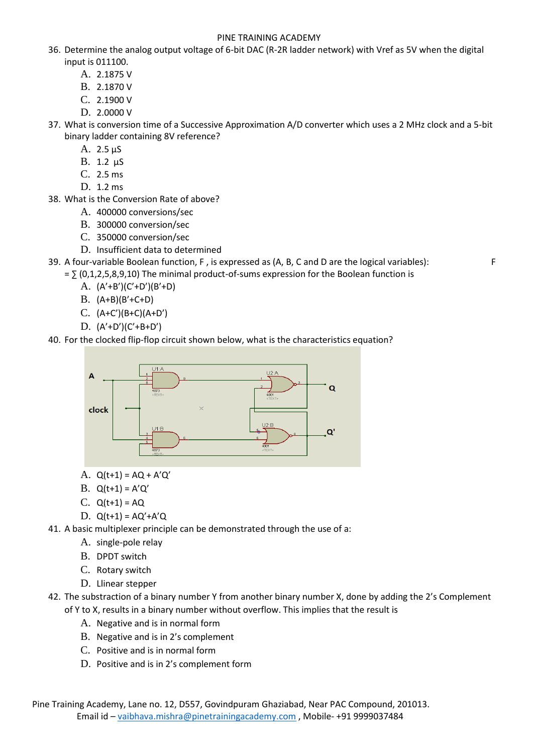## PINE TRAINING ACADEMY

- 36. Determine the analog output voltage of 6-bit DAC (R-2R ladder network) with Vref as 5V when the digital input is 011100.
	- A. 2.1875 V
	- B. 2.1870 V
	- C. 2.1900 V
	- D. 2.0000 V
- 37. What is conversion time of a Successive Approximation A/D converter which uses a 2 MHz clock and a 5-bit binary ladder containing 8V reference?
	- A. 2.5 μS
	- B. 1.2 μS
	- C. 2.5 ms
	- D. 1.2 ms
- 38. What is the Conversion Rate of above?
	- A. 400000 conversions/sec
	- B. 300000 conversion/sec
	- C. 350000 conversion/sec
	- D. Insufficient data to determined
- 39. A four-variable Boolean function, F , is expressed as (A, B, C and D are the logical variables): F
	- $=$   $\sum$  (0,1,2,5,8,9,10) The minimal product-of-sums expression for the Boolean function is
		- A. (A'+B')(C'+D')(B'+D)
		- B. (A+B)(B'+C+D)
		- C. (A+C')(B+C)(A+D')
		- D. (A'+D')(C'+B+D')
- 40. For the clocked flip-flop circuit shown below, what is the characteristics equation?



- A. Q(t+1) = AQ + A'Q'
- B. Q(t+1) = A'Q'
- C. Q(t+1) = AQ
- D. Q(t+1) = AQ'+A'Q

41. A basic multiplexer principle can be demonstrated through the use of a:

- A. single-pole relay
- B. DPDT switch
- C. Rotary switch
- D. Llinear stepper
- 42. The substraction of a binary number Y from another binary number X, done by adding the 2's Complement of Y to X, results in a binary number without overflow. This implies that the result is
	- A. Negative and is in normal form
	- B. Negative and is in 2's complement
	- C. Positive and is in normal form
	- D. Positive and is in 2's complement form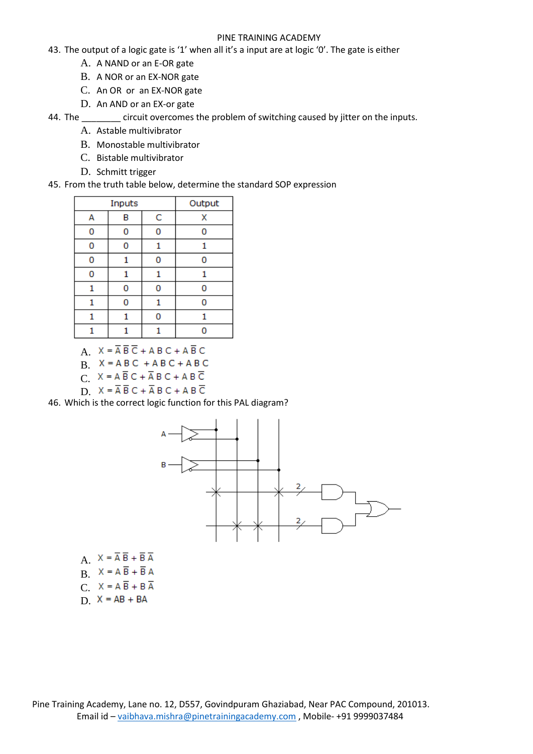## PINE TRAINING ACADEMY

- 43. The output of a logic gate is '1' when all it's a input are at logic '0'. The gate is either
	- A. A NAND or an E-OR gate
	- B. A NOR or an EX-NOR gate
	- C. An OR or an EX-NOR gate
	- D. An AND or an EX-or gate

44. The circuit overcomes the problem of switching caused by jitter on the inputs.

- A. Astable multivibrator
- B. Monostable multivibrator
- C. Bistable multivibrator
- D. Schmitt trigger
- 45. From the truth table below, determine the standard SOP expression

| Inputs |   |   | Output |
|--------|---|---|--------|
| А      | в | C | X      |
| 0      | n | 0 | n      |
| 0      | 0 |   |        |
| 0      | 1 | 0 | 0      |
| 0      | 1 | 1 |        |
|        | 0 | 0 | O      |
|        | 0 |   | n      |
|        |   | n |        |
|        |   |   |        |

A.  $X = \overline{A} \overline{B} \overline{C} + A B C + A \overline{B} C$ 

- $B$   $X = ABC + ABC + ABC$
- $C. X = A \overline{B} C + \overline{A} B C + A B \overline{C}$
- D.  $X = \overline{A} \overline{B} C + \overline{A} B C + A B \overline{C}$

46. Which is the correct logic function for this PAL diagram?



- A.  $X = \overline{A} \overline{B} + \overline{B} \overline{A}$  $B.$   $X = A \overline{B} + \overline{B} A$ C.  $X = A \overline{B} + B \overline{A}$
- $D. X = AB + BA$